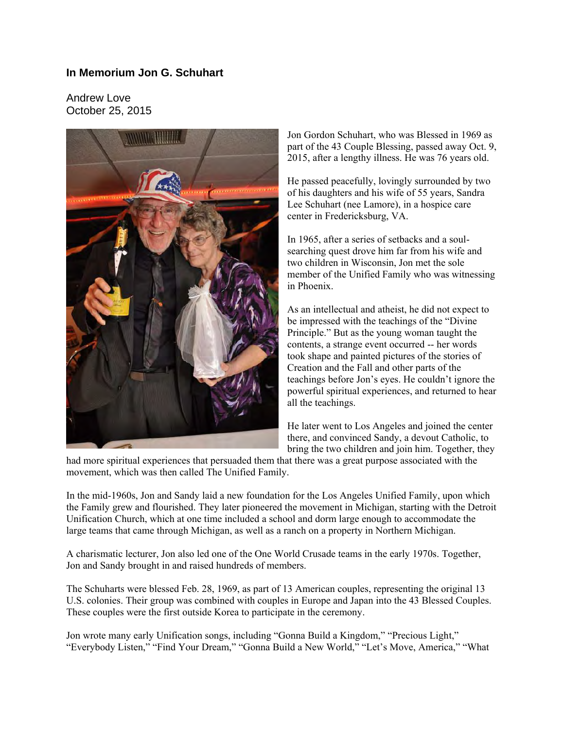## **In Memorium Jon G. Schuhart**

Andrew Love October 25, 2015



Jon Gordon Schuhart, who was Blessed in 1969 as part of the 43 Couple Blessing, passed away Oct. 9, 2015, after a lengthy illness. He was 76 years old.

He passed peacefully, lovingly surrounded by two of his daughters and his wife of 55 years, Sandra Lee Schuhart (nee Lamore), in a hospice care center in Fredericksburg, VA.

In 1965, after a series of setbacks and a soulsearching quest drove him far from his wife and two children in Wisconsin, Jon met the sole member of the Unified Family who was witnessing in Phoenix.

As an intellectual and atheist, he did not expect to be impressed with the teachings of the "Divine Principle." But as the young woman taught the contents, a strange event occurred -- her words took shape and painted pictures of the stories of Creation and the Fall and other parts of the teachings before Jon's eyes. He couldn't ignore the powerful spiritual experiences, and returned to hear all the teachings.

He later went to Los Angeles and joined the center there, and convinced Sandy, a devout Catholic, to bring the two children and join him. Together, they

had more spiritual experiences that persuaded them that there was a great purpose associated with the movement, which was then called The Unified Family.

In the mid-1960s, Jon and Sandy laid a new foundation for the Los Angeles Unified Family, upon which the Family grew and flourished. They later pioneered the movement in Michigan, starting with the Detroit Unification Church, which at one time included a school and dorm large enough to accommodate the large teams that came through Michigan, as well as a ranch on a property in Northern Michigan.

A charismatic lecturer, Jon also led one of the One World Crusade teams in the early 1970s. Together, Jon and Sandy brought in and raised hundreds of members.

The Schuharts were blessed Feb. 28, 1969, as part of 13 American couples, representing the original 13 U.S. colonies. Their group was combined with couples in Europe and Japan into the 43 Blessed Couples. These couples were the first outside Korea to participate in the ceremony.

Jon wrote many early Unification songs, including "Gonna Build a Kingdom," "Precious Light," "Everybody Listen," "Find Your Dream," "Gonna Build a New World," "Let's Move, America," "What